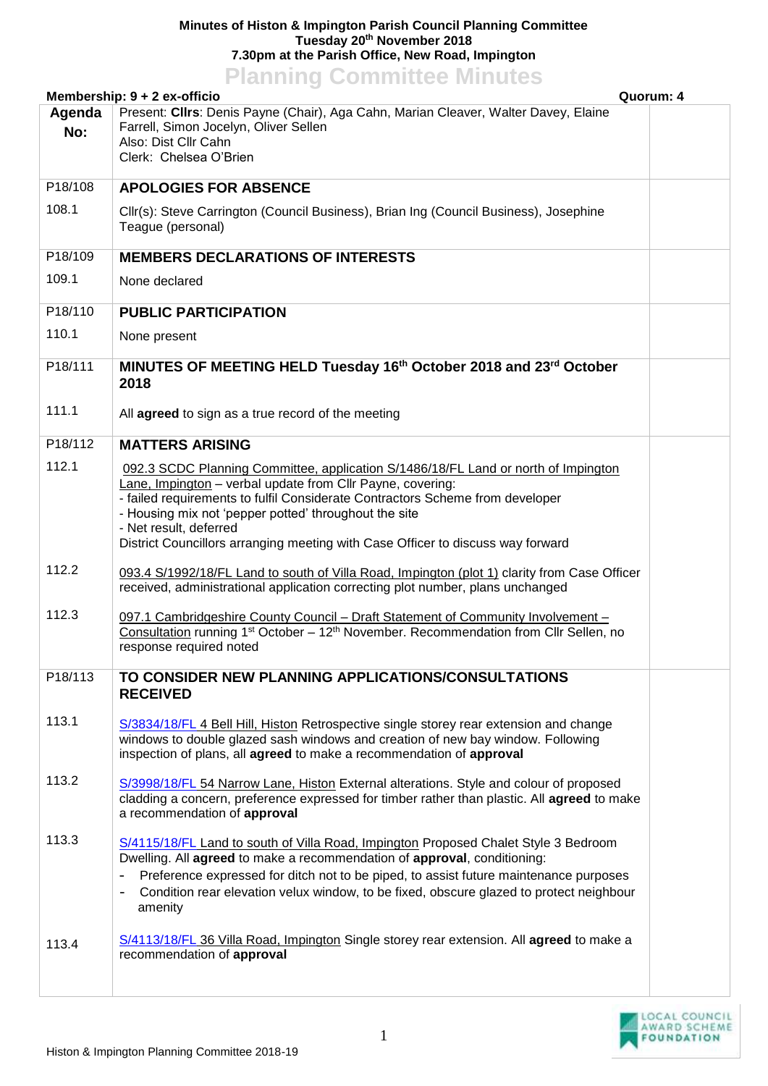## **Minutes of Histon & Impington Parish Council Planning Committee Tuesday 20th November 2018 7.30pm at the Parish Office, New Road, Impington Planning Committee Minutes**

| <b>I KINDING COMMITTEE MINUTES</b><br>Quorum: 4<br>Membership: 9 + 2 ex-officio |                                                                                                                                                                                                                                                                                                                                                                                                         |  |  |
|---------------------------------------------------------------------------------|---------------------------------------------------------------------------------------------------------------------------------------------------------------------------------------------------------------------------------------------------------------------------------------------------------------------------------------------------------------------------------------------------------|--|--|
| Agenda<br>No:                                                                   | Present: Cllrs: Denis Payne (Chair), Aga Cahn, Marian Cleaver, Walter Davey, Elaine<br>Farrell, Simon Jocelyn, Oliver Sellen<br>Also: Dist Cllr Cahn<br>Clerk: Chelsea O'Brien                                                                                                                                                                                                                          |  |  |
| P18/108                                                                         | <b>APOLOGIES FOR ABSENCE</b>                                                                                                                                                                                                                                                                                                                                                                            |  |  |
| 108.1                                                                           | Cllr(s): Steve Carrington (Council Business), Brian Ing (Council Business), Josephine<br>Teague (personal)                                                                                                                                                                                                                                                                                              |  |  |
| P18/109                                                                         | <b>MEMBERS DECLARATIONS OF INTERESTS</b>                                                                                                                                                                                                                                                                                                                                                                |  |  |
| 109.1                                                                           | None declared                                                                                                                                                                                                                                                                                                                                                                                           |  |  |
| P18/110                                                                         | <b>PUBLIC PARTICIPATION</b>                                                                                                                                                                                                                                                                                                                                                                             |  |  |
| 110.1                                                                           | None present                                                                                                                                                                                                                                                                                                                                                                                            |  |  |
| P18/111                                                                         | MINUTES OF MEETING HELD Tuesday 16th October 2018 and 23rd October<br>2018                                                                                                                                                                                                                                                                                                                              |  |  |
| 111.1                                                                           | All agreed to sign as a true record of the meeting                                                                                                                                                                                                                                                                                                                                                      |  |  |
| P18/112                                                                         | <b>MATTERS ARISING</b>                                                                                                                                                                                                                                                                                                                                                                                  |  |  |
| 112.1                                                                           | 092.3 SCDC Planning Committee, application S/1486/18/FL Land or north of Impington<br>Lane, Impington - verbal update from Cllr Payne, covering:<br>- failed requirements to fulfil Considerate Contractors Scheme from developer<br>- Housing mix not 'pepper potted' throughout the site<br>- Net result, deferred<br>District Councillors arranging meeting with Case Officer to discuss way forward |  |  |
| 112.2                                                                           | 093.4 S/1992/18/FL Land to south of Villa Road, Impington (plot 1) clarity from Case Officer<br>received, administrational application correcting plot number, plans unchanged                                                                                                                                                                                                                          |  |  |
| 112.3                                                                           | 097.1 Cambridgeshire County Council - Draft Statement of Community Involvement -<br>Consultation running 1 <sup>st</sup> October – 12 <sup>th</sup> November. Recommendation from Cllr Sellen, no<br>response required noted                                                                                                                                                                            |  |  |
| P18/113                                                                         | TO CONSIDER NEW PLANNING APPLICATIONS/CONSULTATIONS<br><b>RECEIVED</b>                                                                                                                                                                                                                                                                                                                                  |  |  |
| 113.1                                                                           | S/3834/18/FL 4 Bell Hill, Histon Retrospective single storey rear extension and change<br>windows to double glazed sash windows and creation of new bay window. Following<br>inspection of plans, all agreed to make a recommendation of approval                                                                                                                                                       |  |  |
| 113.2                                                                           | S/3998/18/FL 54 Narrow Lane, Histon External alterations. Style and colour of proposed<br>cladding a concern, preference expressed for timber rather than plastic. All agreed to make<br>a recommendation of approval                                                                                                                                                                                   |  |  |
| 113.3                                                                           | S/4115/18/FL Land to south of Villa Road, Impington Proposed Chalet Style 3 Bedroom<br>Dwelling. All agreed to make a recommendation of approval, conditioning:<br>Preference expressed for ditch not to be piped, to assist future maintenance purposes<br>Condition rear elevation velux window, to be fixed, obscure glazed to protect neighbour<br>amenity                                          |  |  |
| 113.4                                                                           | S/4113/18/FL 36 Villa Road, Impington Single storey rear extension. All agreed to make a<br>recommendation of approval                                                                                                                                                                                                                                                                                  |  |  |